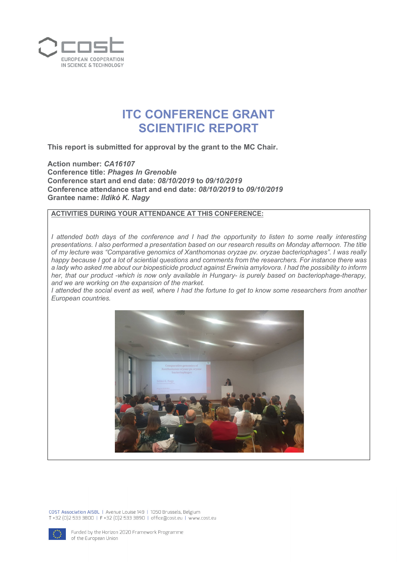

## **ITC CONFERENCE GRANT SCIENTIFIC REPORT**

**This report is submitted for approval by the grant to the MC Chair.**

**Action number:** *CA16107* **Conference title:** *Phages In Grenoble* **Conference start and end date:** *08/10/2019* **to** *09/10/2019* **Conference attendance start and end date:** *08/10/2019* **to** *09/10/2019* **Grantee name:** *Ildikó K. Nagy*

## **ACTIVITIES DURING YOUR ATTENDANCE AT THIS CONFERENCE:**

*I* attended both days of the conference and *I* had the opportunity to listen to some really interesting *presentations. I also performed a presentation based on our research results on Monday afternoon. The title of my lecture was "Comparative genomics of Xanthomonas oryzae pv. oryzae bacteriophages". I was really happy because I got a lot of sciential questions and comments from the researchers. For instance there was a lady who asked me about our biopesticide product against Erwinia amylovora. I had the possibility to inform her, that our product -which is now only available in Hungary- is purely based on bacteriophage-therapy, and we are working on the expansion of the market.* 

*I attended the social event as well, where I had the fortune to get to know some researchers from another European countries.* 



COST Association AISBL | Avenue Louise 149 | 1050 Brussels, Belgium T +32 (0)2 533 3800 | F +32 (0)2 533 3890 | office@cost.eu | www.cost.eu